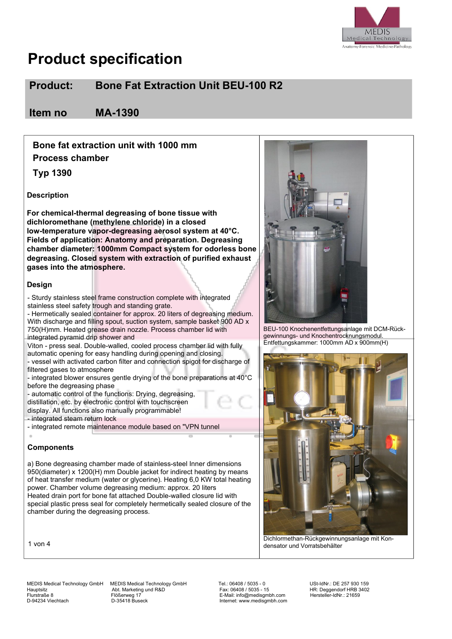

### **Product: Bone Fat Extraction Unit BEU-100 R2**

**Item no MA-1390**

**Bone fat extraction unit with 1000 mm Process chamber**

**Typ 1390**

**Description**

**For chemical-thermal degreasing of bone tissue with dichloromethane (methylene chloride) in a closed low-temperature vapor-degreasing aerosol system at 40°C. Fields of application: Anatomy and preparation. Degreasing chamber diameter: 1000mm Compact system for odorless bone degreasing. Closed system with extraction of purified exhaust gases into the atmosphere.**

#### **Design**

- Sturdy stainless steel frame construction complete with integrated stainless steel safety trough and standing grate.

- Hermetically sealed container for approx. 20 liters of degreasing medium. With discharge and filling spout, suction system, sample basket 900 AD x 750(H)mm. Heated grease drain nozzle. Process chamber lid with integrated pyramid drip shower and

Viton - press seal. Double-walled, cooled process chamber lid with fully automatic opening for easy handling during opening and closing. - vessel with activated carbon filter and connection spigot for discharge of

filtered gases to atmosphere - integrated blower ensures gentle drying of the bone preparations at 40°C before the degreasing phase

- automatic control of the functions: Drying, degreasing,

distillation, etc. by electronic control with touchscreen

display. All functions also manually programmable!

- integrated steam return lock

- integrated remote maintenance module based on "VPN tunnel

### **Components**

a) Bone degreasing chamber made of stainless-steel Inner dimensions 950(diameter) x 1200(H) mm Double jacket for indirect heating by means of heat transfer medium (water or glycerine). Heating 6,0 KW total heating power. Chamber volume degreasing medium: approx. 20 liters Heated drain port for bone fat attached Double-walled closure lid with special plastic press seal for completely hermetically sealed closure of the chamber during the degreasing process.

1 von 4

MEDIS Medical Technology GmbH MEDIS Medical Technology GmbH Tel.: 06408 / 5035 - 0 USt-IdNr.: DE 257 930 159<br>Abt. Marketing und R&D Fax: 06408 / 5035 - 15 HR: Deggendorf HRB 3402 Hauptsitz Abt. Marketing und R&D Fax: 06408 / 5035 - 15 HR: Deggendorf HRB 3402 Flurstraße 8 Flößerweg 17 Flößerweg 17 Flößerweg 17 F-Mail: info@medisgmbh.com<br>D-94234 Viechtach F-35418 Buseck Enternet: www.medisgmbh.com

D-94234 Viechtach D-35418 Buseck Internet: www.medisgmbh.com



BEU-100 Knochenentfettungsanlage mit DCM-Rück-



Dichlormethan-Rückgewinnungsanlage mit Kondensator und Vorratsbehälter

gewinnungs- und Knochentrocknungsmodul. Entfettungskammer: 1000mm AD x 900mm(H)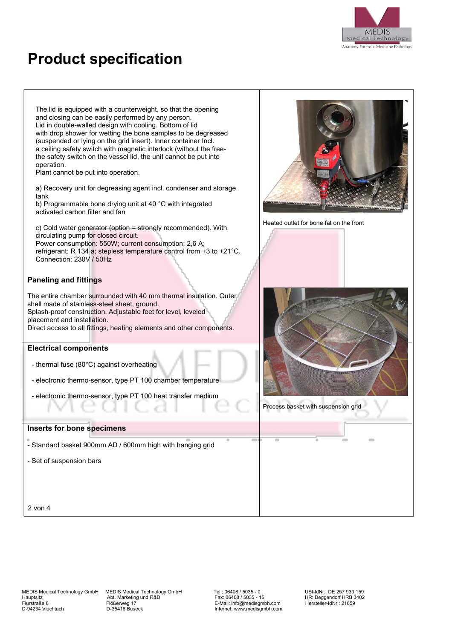

The lid is equipped with a counterweight, so that the opening and closing can be easily performed by any person. Lid in double-walled design with cooling. Bottom of lid with drop shower for wetting the bone samples to be degreased (suspended or lying on the grid insert). Inner container Incl. a ceiling safety switch with magnetic interlock (without the freethe safety switch on the vessel lid, the unit cannot be put into operation.

Plant cannot be put into operation.

a) Recovery unit for degreasing agent incl. condenser and storage tank

b) Programmable bone drying unit at 40 °C with integrated activated carbon filter and fan

c) Cold water generator (option = strongly recommended). With circulating pump for closed circuit. Power consumption: 550W; current consumption: 2,6 A; refrigerant: R 134 a; stepless temperature control from +3 to +21°C. Connection: 230V / 50Hz

### **Paneling and fittings**

The entire chamber surrounded with 40 mm thermal insulation. Outer shell made of stainless-steel sheet, ground. Splash-proof construction. Adjustable feet for level, leveled placement and installation. Direct access to all fittings, heating elements and other components.

#### **Electrical components**

- thermal fuse (80°C) against overheating
- electronic thermo-sensor, type PT 100 chamber temperature
- electronic thermo-sensor, type PT 100 heat transfer medium

#### **Inserts for bone specimens**

- Standard basket 900mm AD / 600mm high with hanging grid

- Set of suspension bars



Heated outlet for bone fat on the front



Process basket with suspension grid

2 von 4

MEDIS Medical Technology GmbH MEDIS Medical Technology GmbH Tel.: 06408 / 5035 - 0 USt-IdNr.: DE 257 930 159<br>Abt. Marketing und R&D Fax: 06408 / 5035 - 15 HR: Deggendorf HRB 3402 Hauptsitz Abt. Marketing und R&D Fax: 06408 / 5035 - 15 HR: Deggendorf HRB 3402<br>Hauptsitz Abt. Marketing und R&D Fax: 06408 / 5035 - 15 HR: Deggendorf HRB 3402<br>Flurstraße 8 Flößerweg 17 E-Mail: info@medisgmbh.com Herstelle Flurstraße 8 Flößerweg 17 E-Mail: info@medisgmbh.com Hersteller-IdNr.: 21659

Internet: www.medisgmbh.com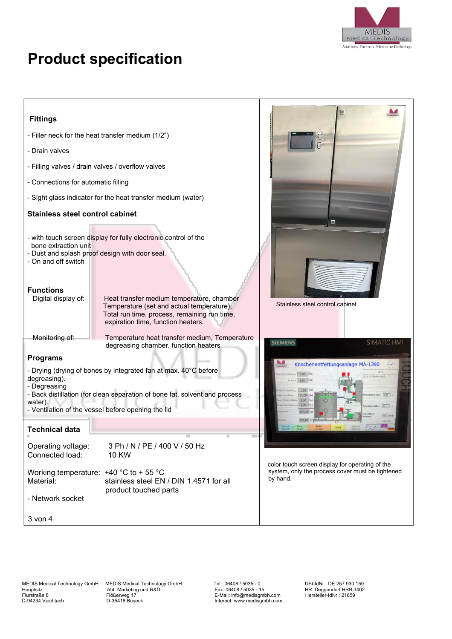

| <b>Fittings</b>                                                                                                                                                                        |                                                                                           |                                                                                                                 |  |  |
|----------------------------------------------------------------------------------------------------------------------------------------------------------------------------------------|-------------------------------------------------------------------------------------------|-----------------------------------------------------------------------------------------------------------------|--|--|
| - Filler neck for the heat transfer medium (1/2")                                                                                                                                      |                                                                                           |                                                                                                                 |  |  |
| - Drain valves                                                                                                                                                                         |                                                                                           |                                                                                                                 |  |  |
| - Filling valves / drain valves / overflow valves                                                                                                                                      |                                                                                           |                                                                                                                 |  |  |
| - Connections for automatic filling                                                                                                                                                    |                                                                                           |                                                                                                                 |  |  |
| - Sight glass indicator for the heat transfer medium (water)                                                                                                                           |                                                                                           |                                                                                                                 |  |  |
| <b>Stainless steel control cabinet</b>                                                                                                                                                 |                                                                                           | $\overline{\blacksquare}$                                                                                       |  |  |
| - with touch screen display for fully electronic control of the<br>bone extraction unit<br>- Dust and splash proof design with door seal.<br>- On and off switch<br><b>Functions</b>   | Heat transfer medium temperature, chamber                                                 |                                                                                                                 |  |  |
| Digital display of:<br>expiration time, function heaters.                                                                                                                              | Temperature (set and actual temperature),<br>Total run time, process, remaining run time, | Stainless steel control cabinet                                                                                 |  |  |
| Monitoring of:                                                                                                                                                                         | Temperature heat transfer medium, Temperature<br>degreasing chamber, function heaters     | <b>SIEMENS</b><br>SIMATIC HMI                                                                                   |  |  |
| <b>Programs</b><br>Knochenentfettungsanlage MA-1390<br>- Drying (drying of bones by integrated fan at max. 40°C before<br>Schrittkette AUS<br>degreasing).<br>2,00 Std<br>- Degreasing |                                                                                           |                                                                                                                 |  |  |
| - Back distillation (for clean separation of bone fat, solvent and process<br>water).<br>- Ventilation of the vessel before opening the lid                                            |                                                                                           | $stratsbehatter$ $[0,0]$                                                                                        |  |  |
| <b>Technical data</b>                                                                                                                                                                  |                                                                                           |                                                                                                                 |  |  |
| 3 Ph / N / PE / 400 V / 50 Hz<br>Operating voltage:<br>Connected load:<br><b>10 KW</b>                                                                                                 |                                                                                           |                                                                                                                 |  |  |
| Working temperature: $+40$ °C to + 55 °C<br>Material:<br>product touched parts                                                                                                         | stainless steel EN / DIN 1.4571 for all                                                   | color touch screen display for operating of the<br>system, only the process cover must be tightened<br>by hand. |  |  |
| - Network socket                                                                                                                                                                       |                                                                                           |                                                                                                                 |  |  |
| $3$ von $4$                                                                                                                                                                            |                                                                                           |                                                                                                                 |  |  |